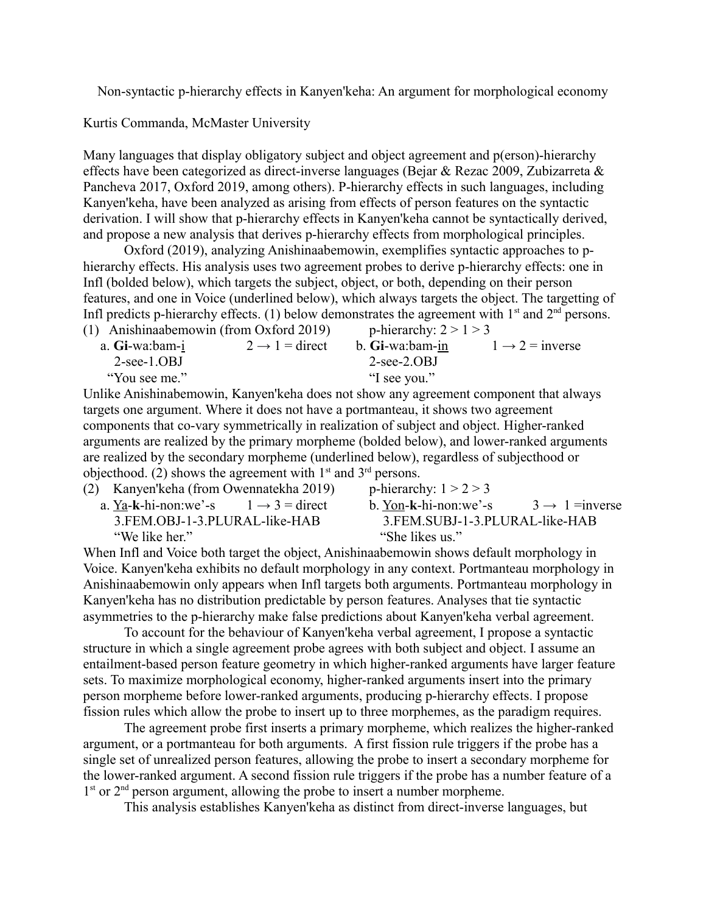Non-syntactic p-hierarchy effects in Kanyen'keha: An argument for morphological economy

Kurtis Commanda, McMaster University

Many languages that display obligatory subject and object agreement and p(erson)-hierarchy effects have been categorized as direct-inverse languages (Bejar & Rezac 2009, Zubizarreta & Pancheva 2017, Oxford 2019, among others). P-hierarchy effects in such languages, including Kanyen'keha, have been analyzed as arising from effects of person features on the syntactic derivation. I will show that p-hierarchy effects in Kanyen'keha cannot be syntactically derived, and propose a new analysis that derives p-hierarchy effects from morphological principles.

Oxford (2019), analyzing Anishinaabemowin, exemplifies syntactic approaches to phierarchy effects. His analysis uses two agreement probes to derive p-hierarchy effects: one in Infl (bolded below), which targets the subject, object, or both, depending on their person features, and one in Voice (underlined below), which always targets the object. The targetting of Infl predicts p-hierarchy effects. (1) below demonstrates the agreement with  $1^{st}$  and  $2^{nd}$  persons.<br>(1) Anickingshamowin (from Oxford 2010) (1) Anishinaabemowin (from Oxford 2010)

| (1) Allisiiliaabelliowiil (110111 Oxford 2019) |                            | p-inclaigny, $2 < 1 < 3$ |                             |
|------------------------------------------------|----------------------------|--------------------------|-----------------------------|
| a. Gi-wa:bam-i                                 | $2 \rightarrow 1$ = direct | b. Gi-wa:bam-in          | $1 \rightarrow 2$ = inverse |
| $2$ -see-1.OBJ                                 |                            | $2$ -see- $2.0B$ J       |                             |
| "You see me."                                  |                            | "I see you."             |                             |
| _ _ _ _ _ _ _ _ _ _                            |                            |                          |                             |

Unlike Anishinabemowin, Kanyen'keha does not show any agreement component that always targets one argument. Where it does not have a portmanteau, it shows two agreement components that co-vary symmetrically in realization of subject and object. Higher-ranked arguments are realized by the primary morpheme (bolded below), and lower-ranked arguments are realized by the secondary morpheme (underlined below), regardless of subjecthood or objecthood. (2) shows the agreement with  $1<sup>st</sup>$  and  $3<sup>rd</sup>$  persons.

| (2) Kanyen'keha (from Owennatekha 2019)         | p-hierarchy: $1 > 2 > 3$                          |  |
|-------------------------------------------------|---------------------------------------------------|--|
| a. Ya-k-hi-non:we'-s $1 \rightarrow 3$ = direct | b. Yon-k-hi-non:we'-s $3 \rightarrow 1$ = inverse |  |
| 3.FEM.OBJ-1-3.PLURAL-like-HAB                   | 3.FEM.SUBJ-1-3.PLURAL-like-HAB                    |  |
| "We like her."                                  | "She likes us."                                   |  |

When Infl and Voice both target the object, Anishinaabemowin shows default morphology in Voice. Kanyen'keha exhibits no default morphology in any context. Portmanteau morphology in Anishinaabemowin only appears when Infl targets both arguments. Portmanteau morphology in Kanyen'keha has no distribution predictable by person features. Analyses that tie syntactic asymmetries to the p-hierarchy make false predictions about Kanyen'keha verbal agreement.

To account for the behaviour of Kanyen'keha verbal agreement, I propose a syntactic structure in which a single agreement probe agrees with both subject and object. I assume an entailment-based person feature geometry in which higher-ranked arguments have larger feature sets. To maximize morphological economy, higher-ranked arguments insert into the primary person morpheme before lower-ranked arguments, producing p-hierarchy effects. I propose fission rules which allow the probe to insert up to three morphemes, as the paradigm requires.

The agreement probe first inserts a primary morpheme, which realizes the higher-ranked argument, or a portmanteau for both arguments. A first fission rule triggers if the probe has a single set of unrealized person features, allowing the probe to insert a secondary morpheme for the lower-ranked argument. A second fission rule triggers if the probe has a number feature of a 1<sup>st</sup> or 2<sup>nd</sup> person argument, allowing the probe to insert a number morpheme.

This analysis establishes Kanyen'keha as distinct from direct-inverse languages, but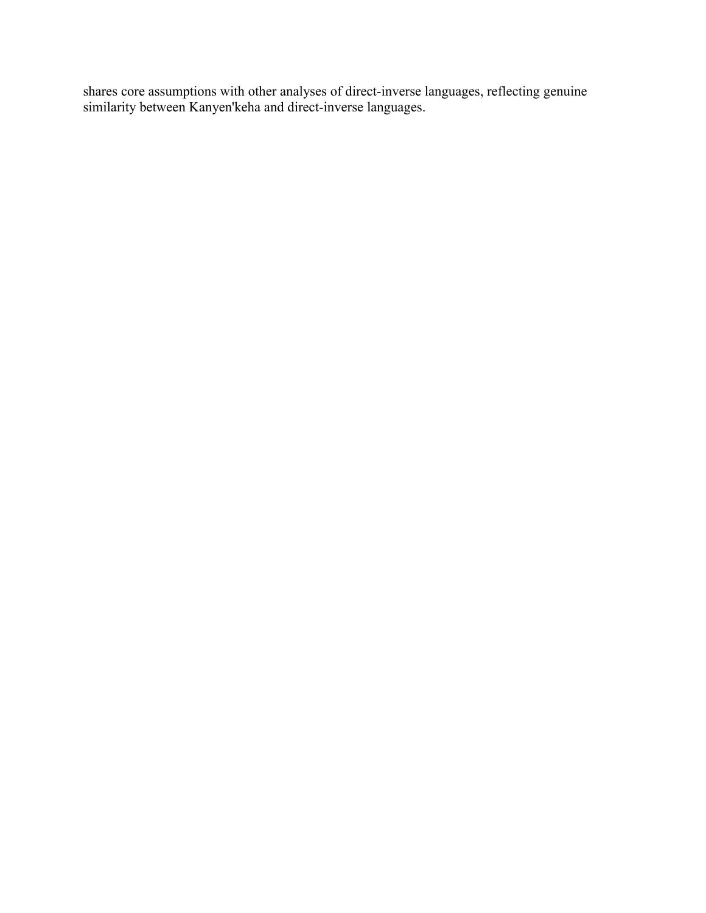shares core assumptions with other analyses of direct-inverse languages, reflecting genuine similarity between Kanyen'keha and direct-inverse languages.